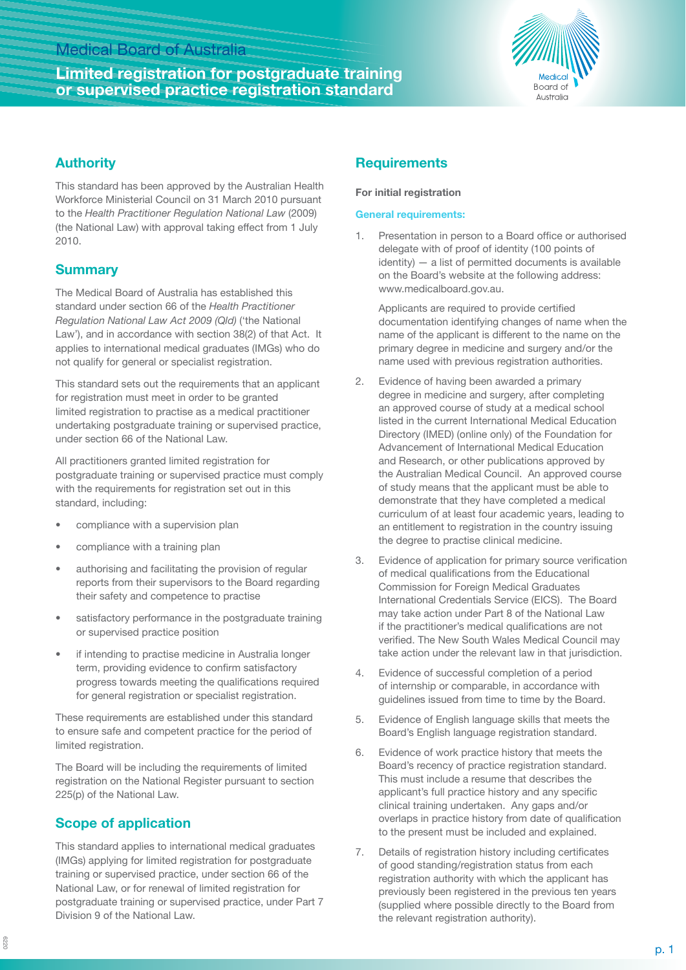# Medical Board of Australia

# **Limited registration for postgraduate training or supervised practice registration standard**



## **Authority**

This standard has been approved by the Australian Health Workforce Ministerial Council on 31 March 2010 pursuant to the *Health Practitioner Regulation National Law* (2009) (the National Law) with approval taking effect from 1 July 2010.

## **Summary**

The Medical Board of Australia has established this standard under section 66 of the *Health Practitioner Regulation National Law Act 2009 (Qld)* ('the National Law'), and in accordance with section 38(2) of that Act. It applies to international medical graduates (IMGs) who do not qualify for general or specialist registration.

This standard sets out the requirements that an applicant for registration must meet in order to be granted limited registration to practise as a medical practitioner undertaking postgraduate training or supervised practice, under section 66 of the National Law.

All practitioners granted limited registration for postgraduate training or supervised practice must comply with the requirements for registration set out in this standard, including:

- compliance with a supervision plan
- compliance with a training plan
- authorising and facilitating the provision of regular reports from their supervisors to the Board regarding their safety and competence to practise
- satisfactory performance in the postgraduate training or supervised practice position
- if intending to practise medicine in Australia longer term, providing evidence to confirm satisfactory progress towards meeting the qualifications required for general registration or specialist registration.

These requirements are established under this standard to ensure safe and competent practice for the period of limited registration.

The Board will be including the requirements of limited registration on the National Register pursuant to section 225(p) of the National Law.

# **Scope of application**

This standard applies to international medical graduates (IMGs) applying for limited registration for postgraduate training or supervised practice, under section 66 of the National Law, or for renewal of limited registration for postgraduate training or supervised practice, under Part 7 Division 9 of the National Law.

## **Requirements**

### **For initial registration**

### **General requirements:**

1. Presentation in person to a Board office or authorised delegate with of proof of identity (100 points of identity) — a list of permitted documents is available on the Board's website at the following address: www.medicalboard.gov.au.

 Applicants are required to provide certified documentation identifying changes of name when the name of the applicant is different to the name on the primary degree in medicine and surgery and/or the name used with previous registration authorities.

- 2. Evidence of having been awarded a primary degree in medicine and surgery, after completing an approved course of study at a medical school listed in the current International Medical Education Directory (IMED) (online only) of the Foundation for Advancement of International Medical Education and Research, or other publications approved by the Australian Medical Council. An approved course of study means that the applicant must be able to demonstrate that they have completed a medical curriculum of at least four academic years, leading to an entitlement to registration in the country issuing the degree to practise clinical medicine.
- 3. Evidence of application for primary source verification of medical qualifications from the Educational Commission for Foreign Medical Graduates International Credentials Service (EICS). The Board may take action under Part 8 of the National Law if the practitioner's medical qualifications are not verified. The New South Wales Medical Council may take action under the relevant law in that jurisdiction.
- 4. Evidence of successful completion of a period of internship or comparable, in accordance with guidelines issued from time to time by the Board.
- 5. Evidence of English language skills that meets the Board's English language registration standard.
- 6. Evidence of work practice history that meets the Board's recency of practice registration standard. This must include a resume that describes the applicant's full practice history and any specific clinical training undertaken. Any gaps and/or overlaps in practice history from date of qualification to the present must be included and explained.
- 7. Details of registration history including certificates of good standing/registration status from each registration authority with which the applicant has previously been registered in the previous ten years (supplied where possible directly to the Board from the relevant registration authority).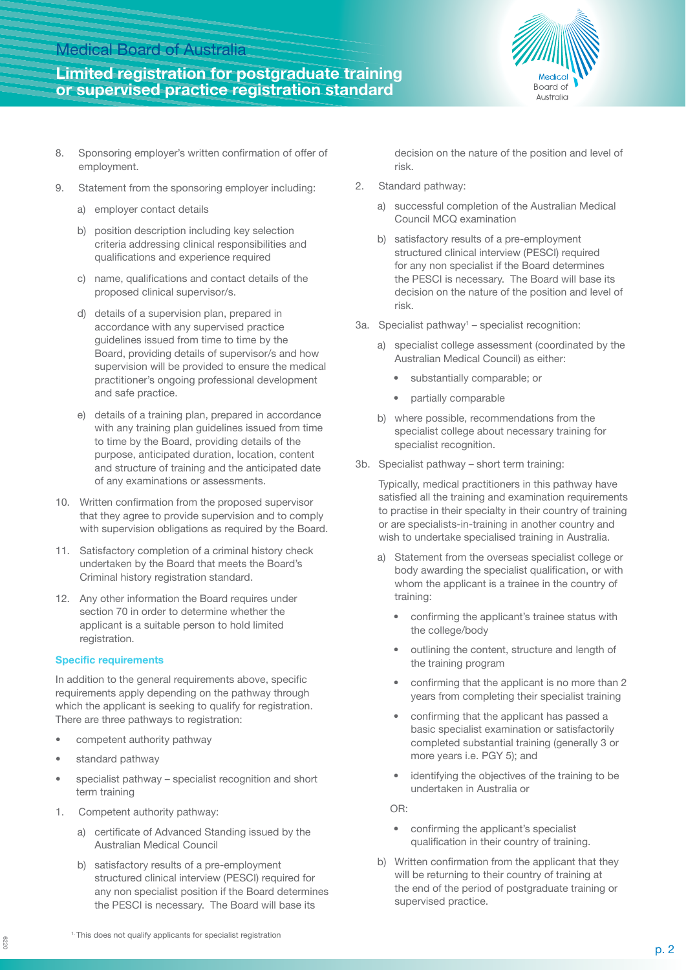## Medical Board of Australia

# **Limited registration for postgraduate training or supervised practice registration standard**



- 8. Sponsoring employer's written confirmation of offer of employment.
- 9. Statement from the sponsoring employer including:
	- a) employer contact details
	- b) position description including key selection criteria addressing clinical responsibilities and qualifications and experience required
	- c) name, qualifications and contact details of the proposed clinical supervisor/s.
	- d) details of a supervision plan, prepared in accordance with any supervised practice guidelines issued from time to time by the Board, providing details of supervisor/s and how supervision will be provided to ensure the medical practitioner's ongoing professional development and safe practice.
	- e) details of a training plan, prepared in accordance with any training plan guidelines issued from time to time by the Board, providing details of the purpose, anticipated duration, location, content and structure of training and the anticipated date of any examinations or assessments.
- 10. Written confirmation from the proposed supervisor that they agree to provide supervision and to comply with supervision obligations as required by the Board.
- 11. Satisfactory completion of a criminal history check undertaken by the Board that meets the Board's Criminal history registration standard.
- 12. Any other information the Board requires under section 70 in order to determine whether the applicant is a suitable person to hold limited registration.

#### **Specific requirements**

In addition to the general requirements above, specific requirements apply depending on the pathway through which the applicant is seeking to qualify for registration. There are three pathways to registration:

- competent authority pathway
- standard pathway

6220

- specialist pathway specialist recognition and short term training
- 1. Competent authority pathway:
	- a) certificate of Advanced Standing issued by the Australian Medical Council
	- b) satisfactory results of a pre-employment structured clinical interview (PESCI) required for any non specialist position if the Board determines the PESCI is necessary. The Board will base its

decision on the nature of the position and level of risk.

- 2. Standard pathway:
	- a) successful completion of the Australian Medical Council MCQ examination
	- b) satisfactory results of a pre-employment structured clinical interview (PESCI) required for any non specialist if the Board determines the PESCI is necessary. The Board will base its decision on the nature of the position and level of risk.
- 3a. Specialist pathway<sup>1</sup> specialist recognition:
	- a) specialist college assessment (coordinated by the Australian Medical Council) as either:
		- substantially comparable; or
		- partially comparable
	- b) where possible, recommendations from the specialist college about necessary training for specialist recognition.
- 3b. Specialist pathway short term training:

Typically, medical practitioners in this pathway have satisfied all the training and examination requirements to practise in their specialty in their country of training or are specialists-in-training in another country and wish to undertake specialised training in Australia.

- a) Statement from the overseas specialist college or body awarding the specialist qualification, or with whom the applicant is a trainee in the country of training:
	- confirming the applicant's trainee status with the college/body
	- outlining the content, structure and length of the training program
	- confirming that the applicant is no more than 2 years from completing their specialist training
	- confirming that the applicant has passed a basic specialist examination or satisfactorily completed substantial training (generally 3 or more years i.e. PGY 5); and
	- identifying the objectives of the training to be undertaken in Australia or

OR:

- confirming the applicant's specialist qualification in their country of training.
- b) Written confirmation from the applicant that they will be returning to their country of training at the end of the period of postgraduate training or supervised practice.